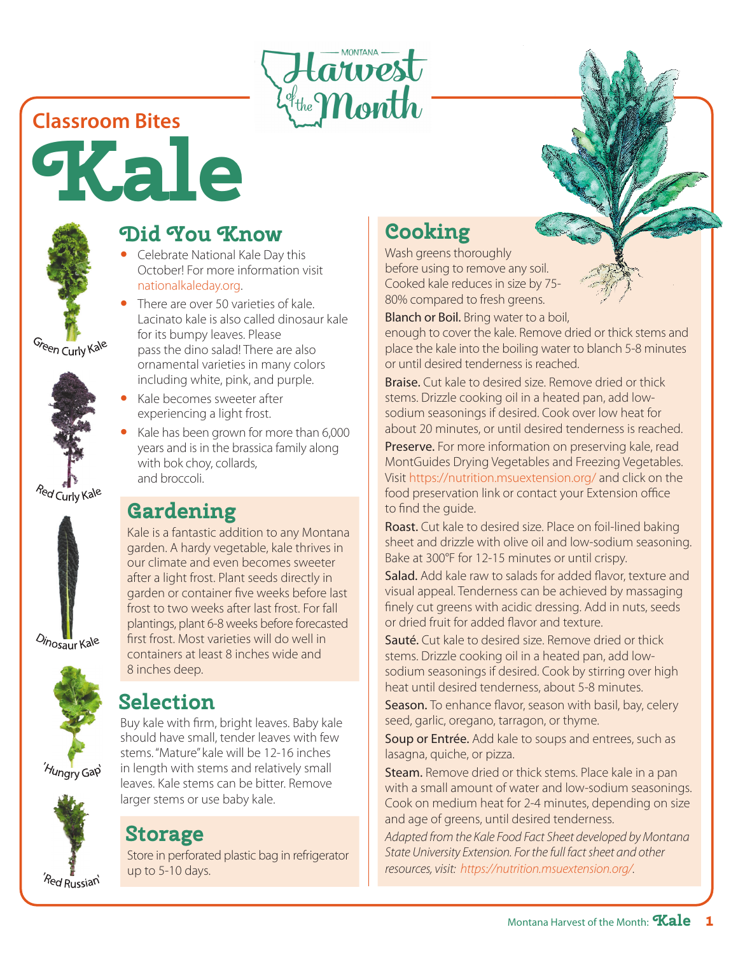

## **Classroom Bites**





Green Curly Kale







### 'Hungry Gap



# **Did You Know**

- Celebrate National Kale Day this October! For more information visit nationalkaleday.org.
- There are over 50 varieties of kale. Lacinato kale is also called dinosaur kale for its bumpy leaves. Please pass the dino salad! There are also ornamental varieties in many colors including white, pink, and purple.
- Kale becomes sweeter after experiencing a light frost.
- Kale has been grown for more than 6,000 years and is in the brassica family along with bok choy, collards, and broccoli.

# **Gardening**

Kale is a fantastic addition to any Montana garden. A hardy vegetable, kale thrives in our climate and even becomes sweeter after a light frost. Plant seeds directly in garden or container five weeks before last frost to two weeks after last frost. For fall plantings, plant 6-8 weeks before forecasted first frost. Most varieties will do well in containers at least 8 inches wide and 8 inches deep.

# **Selection**

Buy kale with firm, bright leaves. Baby kale should have small, tender leaves with few stems. "Mature" kale will be 12-16 inches in length with stems and relatively small leaves. Kale stems can be bitter. Remove larger stems or use baby kale.

# **Storage**

Store in perforated plastic bag in refrigerator up to 5-10 days.

# **Cooking**

Wash greens thoroughly before using to remove any soil. Cooked kale reduces in size by 75- 80% compared to fresh greens.

Blanch or Boil. Bring water to a boil,

enough to cover the kale. Remove dried or thick stems and place the kale into the boiling water to blanch 5-8 minutes or until desired tenderness is reached.

Braise. Cut kale to desired size. Remove dried or thick stems. Drizzle cooking oil in a heated pan, add lowsodium seasonings if desired. Cook over low heat for about 20 minutes, or until desired tenderness is reached.

Preserve. For more information on preserving kale, read MontGuides Drying Vegetables and Freezing Vegetables. Visit https://nutrition.msuextension.org/ and click on the food preservation link or contact your Extension office to find the guide.

Roast. Cut kale to desired size. Place on foil-lined baking sheet and drizzle with olive oil and low-sodium seasoning. Bake at 300°F for 12-15 minutes or until crispy.

Salad. Add kale raw to salads for added flavor, texture and visual appeal. Tenderness can be achieved by massaging finely cut greens with acidic dressing. Add in nuts, seeds or dried fruit for added flavor and texture.

Sauté. Cut kale to desired size. Remove dried or thick stems. Drizzle cooking oil in a heated pan, add lowsodium seasonings if desired. Cook by stirring over high heat until desired tenderness, about 5-8 minutes.

Season. To enhance flavor, season with basil, bay, celery seed, garlic, oregano, tarragon, or thyme.

Soup or Entrée. Add kale to soups and entrees, such as lasagna, quiche, or pizza.

Steam. Remove dried or thick stems. Place kale in a pan with a small amount of water and low-sodium seasonings. Cook on medium heat for 2-4 minutes, depending on size and age of greens, until desired tenderness.

*Adapted from the Kale Food Fact Sheet developed by Montana State University Extension. For the full fact sheet and other resources, visit: https://nutrition.msuextension.org/.* 

Montana Harvest of the Month: **Kale 1**

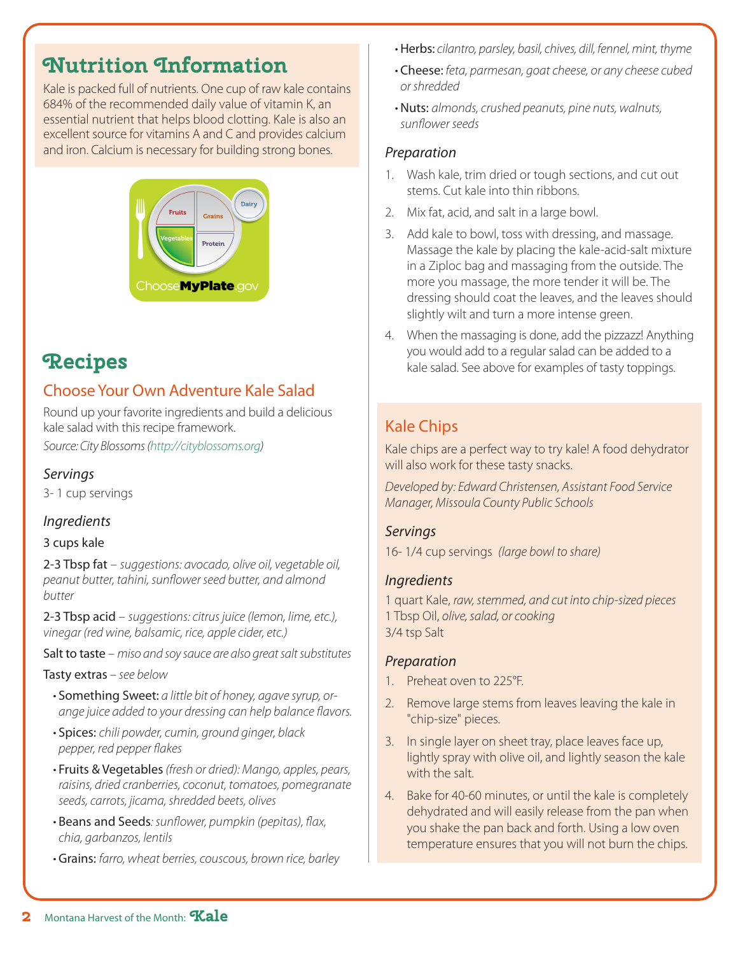# **Nutrition Information**

Kale is packed full of nutrients. One cup of raw kale contains 684% of the recommended daily value of vitamin K, an essential nutrient that helps blood clotting. Kale is also an excellent source for vitamins A and C and provides calcium and iron. Calcium is necessary for building strong bones.



# **Recipes**

### Choose Your Own Adventure Kale Salad

Round up your favorite ingredients and build a delicious kale salad with this recipe framework.

*Source: City Blossoms (http://cityblossoms.org)*

#### *Servings*

3- 1 cup servings

### *Ingredients*

#### 3 cups kale

2-3 Tbsp fat – *suggestions: avocado, olive oil, vegetable oil, peanut butter, tahini, sunflower seed butter, and almond butter*

2-3 Tbsp acid – *suggestions: citrus juice (lemon, lime, etc.), vinegar (red wine, balsamic, rice, apple cider, etc.)*

Salt to taste – *miso and soy sauce are also great salt substitutes*

#### Tasty extras *– see below*

- Something Sweet: *a little bit of honey, agave syrup, orange juice added to your dressing can help balance flavors.*
- Spices: *chili powder, cumin, ground ginger, black pepper, red pepper flakes*
- Fruits & Vegetables *(fresh or dried): Mango, apples, pears, raisins, dried cranberries, coconut, tomatoes, pomegranate seeds, carrots, jicama, shredded beets, olives*
- Beans and Seeds*: sunflower, pumpkin (pepitas), flax, chia, garbanzos, lentils*
- Grains: *farro, wheat berries, couscous, brown rice, barley*
- Herbs: *cilantro, parsley, basil, chives, dill, fennel, mint, thyme*
- Cheese: *feta, parmesan, goat cheese, or any cheese cubed or shredded*
- Nuts: *almonds, crushed peanuts, pine nuts, walnuts, sunflower seeds*

### *Preparation*

- 1. Wash kale, trim dried or tough sections, and cut out stems. Cut kale into thin ribbons.
- 2. Mix fat, acid, and salt in a large bowl.
- 3. Add kale to bowl, toss with dressing, and massage. Massage the kale by placing the kale-acid-salt mixture in a Ziploc bag and massaging from the outside. The more you massage, the more tender it will be. The dressing should coat the leaves, and the leaves should slightly wilt and turn a more intense green.
- 4. When the massaging is done, add the pizzazz! Anything you would add to a regular salad can be added to a kale salad. See above for examples of tasty toppings.

### Kale Chips

Kale chips are a perfect way to try kale! A food dehydrator will also work for these tasty snacks.

*Developed by: Edward Christensen, Assistant Food Service Manager, Missoula County Public Schools* 

### *Servings*

16- 1/4 cup servings *(large bowl to share)*

#### *Ingredients*

1 quart Kale, *raw, stemmed, and cut into chip-sized pieces* 1 Tbsp Oil, *olive, salad, or cooking* 3/4 tsp Salt

#### *Preparation*

- 1. Preheat oven to 225°F.
- 2. Remove large stems from leaves leaving the kale in "chip-size" pieces.
- 3. In single layer on sheet tray, place leaves face up, lightly spray with olive oil, and lightly season the kale with the salt.
- 4. Bake for 40-60 minutes, or until the kale is completely dehydrated and will easily release from the pan when you shake the pan back and forth. Using a low oven temperature ensures that you will not burn the chips.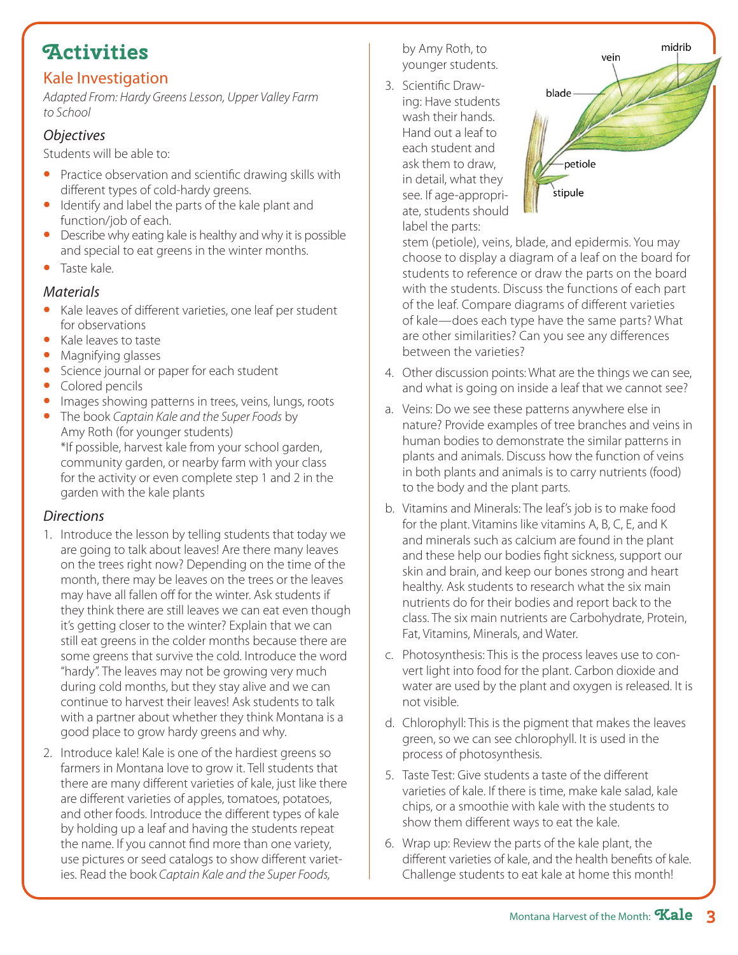# **Activities**

### Kale Investigation

*Adapted From: Hardy Greens Lesson, Upper Valley Farm to School*

### *Objectives*

Students will be able to:

- Practice observation and scientific drawing skills with different types of cold-hardy greens.
- Identify and label the parts of the kale plant and function/job of each.
- Describe why eating kale is healthy and why it is possible and special to eat greens in the winter months.
- Taste kale.

### *Materials*

- Kale leaves of different varieties, one leaf per student for observations
- Kale leaves to taste
- Magnifying glasses
- Science journal or paper for each student
- Colored pencils
- Images showing patterns in trees, veins, lungs, roots
- The book *Captain Kale and the Super Foods* by Amy Roth (for younger students) \*If possible, harvest kale from your school garden, community garden, or nearby farm with your class for the activity or even complete step 1 and 2 in the garden with the kale plants

### *Directions*

- 1. Introduce the lesson by telling students that today we are going to talk about leaves! Are there many leaves on the trees right now? Depending on the time of the month, there may be leaves on the trees or the leaves may have all fallen off for the winter. Ask students if they think there are still leaves we can eat even though it's getting closer to the winter? Explain that we can still eat greens in the colder months because there are some greens that survive the cold. Introduce the word "hardy". The leaves may not be growing very much during cold months, but they stay alive and we can continue to harvest their leaves! Ask students to talk with a partner about whether they think Montana is a good place to grow hardy greens and why.
- 2. Introduce kale! Kale is one of the hardiest greens so farmers in Montana love to grow it. Tell students that there are many different varieties of kale, just like there are different varieties of apples, tomatoes, potatoes, and other foods. Introduce the different types of kale by holding up a leaf and having the students repeat the name. If you cannot find more than one variety, use pictures or seed catalogs to show different varieties. Read the book *Captain Kale and the Super Foods,*

by Amy Roth, to younger students.

3. Scientific Drawing: Have students wash their hands. Hand out a leaf to each student and ask them to draw, in detail, what they see. If age-appropriate, students should label the parts:



stem (petiole), veins, blade, and epidermis. You may choose to display a diagram of a leaf on the board for students to reference or draw the parts on the board with the students. Discuss the functions of each part of the leaf. Compare diagrams of different varieties of kale—does each type have the same parts? What are other similarities? Can you see any differences between the varieties?

- 4. Other discussion points: What are the things we can see, and what is going on inside a leaf that we cannot see?
- a. Veins: Do we see these patterns anywhere else in nature? Provide examples of tree branches and veins in human bodies to demonstrate the similar patterns in plants and animals. Discuss how the function of veins in both plants and animals is to carry nutrients (food) to the body and the plant parts.
- b. Vitamins and Minerals: The leaf's job is to make food for the plant. Vitamins like vitamins A, B, C, E, and K and minerals such as calcium are found in the plant and these help our bodies fight sickness, support our skin and brain, and keep our bones strong and heart healthy. Ask students to research what the six main nutrients do for their bodies and report back to the class. The six main nutrients are Carbohydrate, Protein, Fat, Vitamins, Minerals, and Water.
- c. Photosynthesis: This is the process leaves use to convert light into food for the plant. Carbon dioxide and water are used by the plant and oxygen is released. It is not visible.
- d. Chlorophyll: This is the pigment that makes the leaves green, so we can see chlorophyll. It is used in the process of photosynthesis.
- 5. Taste Test: Give students a taste of the different varieties of kale. If there is time, make kale salad, kale chips, or a smoothie with kale with the students to show them different ways to eat the kale.
- 6. Wrap up: Review the parts of the kale plant, the different varieties of kale, and the health benefits of kale. Challenge students to eat kale at home this month!